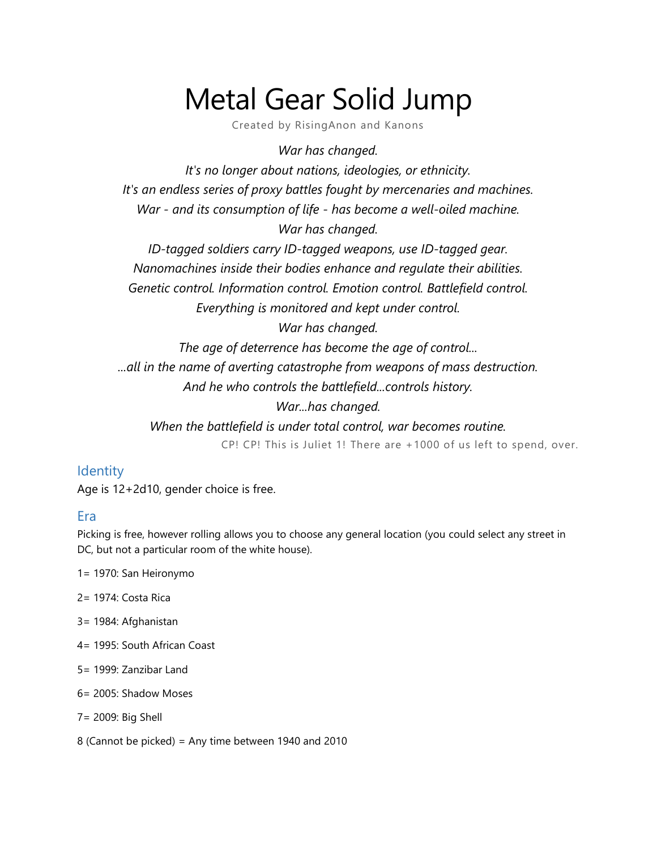# Metal Gear Solid Jump

Created by RisingAnon and Kanons

*War has changed.*

*It's no longer about nations, ideologies, or ethnicity. It's an endless series of proxy battles fought by mercenaries and machines. War - and its consumption of life - has become a well-oiled machine. War has changed.*

*ID-tagged soldiers carry ID-tagged weapons, use ID-tagged gear. Nanomachines inside their bodies enhance and regulate their abilities. Genetic control. Information control. Emotion control. Battlefield control. Everything is monitored and kept under control.*

*War has changed.*

*The age of deterrence has become the age of control... ...all in the name of averting catastrophe from weapons of mass destruction. And he who controls the battlefield...controls history.*

*War...has changed.*

*When the battlefield is under total control, war becomes routine.* CP! CP! This is Juliet 1! There are +1000 of us left to spend, over.

#### **Identity**

Age is 12+2d10, gender choice is free.

#### Era

Picking is free, however rolling allows you to choose any general location (you could select any street in DC, but not a particular room of the white house).

- 1= 1970: San Heironymo
- 2= 1974: Costa Rica
- 3= 1984: Afghanistan
- 4= 1995: South African Coast
- 5= 1999: Zanzibar Land
- 6= 2005: Shadow Moses
- 7= 2009: Big Shell
- 8 (Cannot be picked) = Any time between 1940 and 2010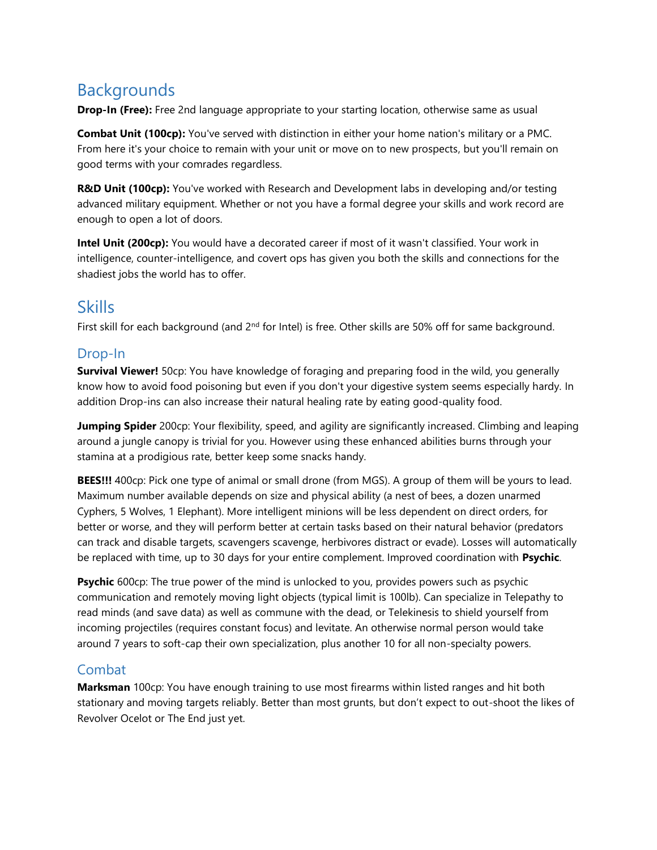# **Backgrounds**

**Drop-In (Free):** Free 2nd language appropriate to your starting location, otherwise same as usual

**Combat Unit (100cp):** You've served with distinction in either your home nation's military or a PMC. From here it's your choice to remain with your unit or move on to new prospects, but you'll remain on good terms with your comrades regardless.

R&D Unit (100cp): You've worked with Research and Development labs in developing and/or testing advanced military equipment. Whether or not you have a formal degree your skills and work record are enough to open a lot of doors.

**Intel Unit (200cp):** You would have a decorated career if most of it wasn't classified. Your work in intelligence, counter-intelligence, and covert ops has given you both the skills and connections for the shadiest jobs the world has to offer.

# Skills

First skill for each background (and 2<sup>nd</sup> for Intel) is free. Other skills are 50% off for same background.

### Drop-In

**Survival Viewer!** 50cp: You have knowledge of foraging and preparing food in the wild, you generally know how to avoid food poisoning but even if you don't your digestive system seems especially hardy. In addition Drop-ins can also increase their natural healing rate by eating good-quality food.

**Jumping Spider** 200cp: Your flexibility, speed, and agility are significantly increased. Climbing and leaping around a jungle canopy is trivial for you. However using these enhanced abilities burns through your stamina at a prodigious rate, better keep some snacks handy.

**BEES!!!** 400cp: Pick one type of animal or small drone (from MGS). A group of them will be yours to lead. Maximum number available depends on size and physical ability (a nest of bees, a dozen unarmed Cyphers, 5 Wolves, 1 Elephant). More intelligent minions will be less dependent on direct orders, for better or worse, and they will perform better at certain tasks based on their natural behavior (predators can track and disable targets, scavengers scavenge, herbivores distract or evade). Losses will automatically be replaced with time, up to 30 days for your entire complement. Improved coordination with **Psychic**.

**Psychic** 600cp: The true power of the mind is unlocked to you, provides powers such as psychic communication and remotely moving light objects (typical limit is 100lb). Can specialize in Telepathy to read minds (and save data) as well as commune with the dead, or Telekinesis to shield yourself from incoming projectiles (requires constant focus) and levitate. An otherwise normal person would take around 7 years to soft-cap their own specialization, plus another 10 for all non-specialty powers.

#### Combat

**Marksman** 100cp: You have enough training to use most firearms within listed ranges and hit both stationary and moving targets reliably. Better than most grunts, but don't expect to out-shoot the likes of Revolver Ocelot or The End just yet.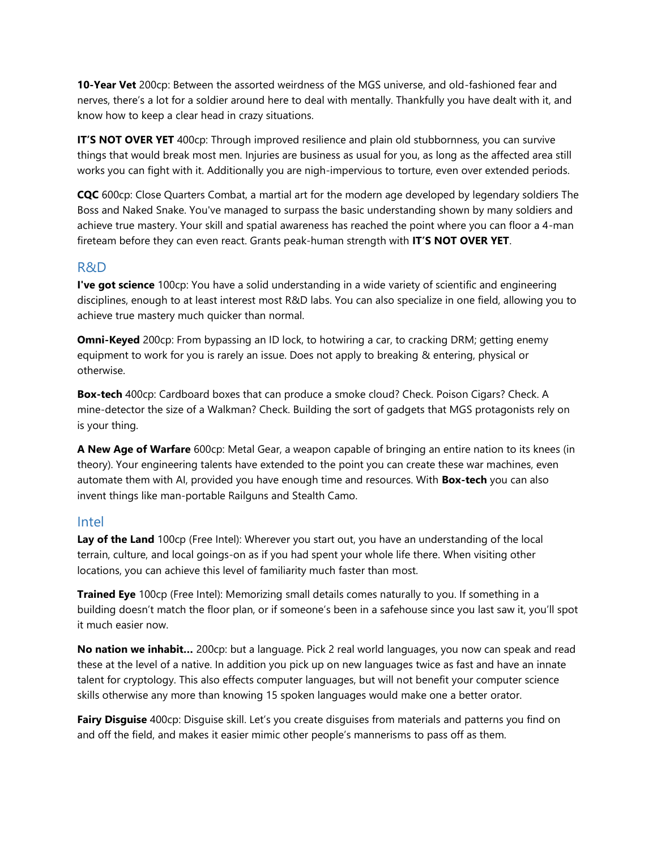**10-Year Vet** 200cp: Between the assorted weirdness of the MGS universe, and old-fashioned fear and nerves, there's a lot for a soldier around here to deal with mentally. Thankfully you have dealt with it, and know how to keep a clear head in crazy situations.

**IT'S NOT OVER YET** 400cp: Through improved resilience and plain old stubbornness, you can survive things that would break most men. Injuries are business as usual for you, as long as the affected area still works you can fight with it. Additionally you are nigh-impervious to torture, even over extended periods.

**CQC** 600cp: Close Quarters Combat, a martial art for the modern age developed by legendary soldiers The Boss and Naked Snake. You've managed to surpass the basic understanding shown by many soldiers and achieve true mastery. Your skill and spatial awareness has reached the point where you can floor a 4-man fireteam before they can even react. Grants peak-human strength with **IT'S NOT OVER YET**.

#### R&D

**I've got science** 100cp: You have a solid understanding in a wide variety of scientific and engineering disciplines, enough to at least interest most R&D labs. You can also specialize in one field, allowing you to achieve true mastery much quicker than normal.

**Omni-Keyed** 200cp: From bypassing an ID lock, to hotwiring a car, to cracking DRM; getting enemy equipment to work for you is rarely an issue. Does not apply to breaking & entering, physical or otherwise.

**Box-tech** 400cp: Cardboard boxes that can produce a smoke cloud? Check. Poison Cigars? Check. A mine-detector the size of a Walkman? Check. Building the sort of gadgets that MGS protagonists rely on is your thing.

**A New Age of Warfare** 600cp: Metal Gear, a weapon capable of bringing an entire nation to its knees (in theory). Your engineering talents have extended to the point you can create these war machines, even automate them with AI, provided you have enough time and resources. With **Box-tech** you can also invent things like man-portable Railguns and Stealth Camo.

#### Intel

**Lay of the Land** 100cp (Free Intel): Wherever you start out, you have an understanding of the local terrain, culture, and local goings-on as if you had spent your whole life there. When visiting other locations, you can achieve this level of familiarity much faster than most.

**Trained Eye** 100cp (Free Intel): Memorizing small details comes naturally to you. If something in a building doesn't match the floor plan, or if someone's been in a safehouse since you last saw it, you'll spot it much easier now.

**No nation we inhabit…** 200cp: but a language. Pick 2 real world languages, you now can speak and read these at the level of a native. In addition you pick up on new languages twice as fast and have an innate talent for cryptology. This also effects computer languages, but will not benefit your computer science skills otherwise any more than knowing 15 spoken languages would make one a better orator.

**Fairy Disguise** 400cp: Disguise skill. Let's you create disguises from materials and patterns you find on and off the field, and makes it easier mimic other people's mannerisms to pass off as them.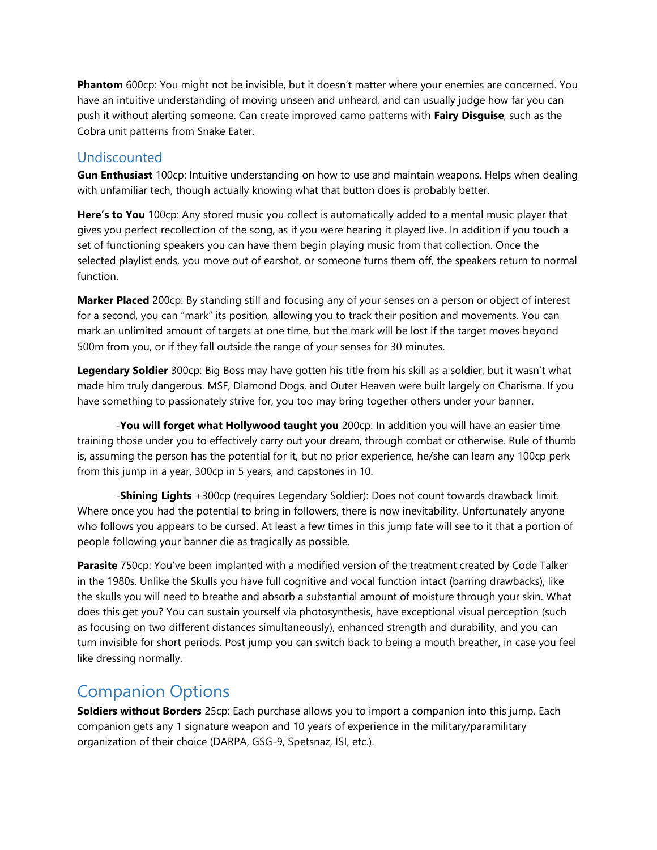**Phantom** 600cp: You might not be invisible, but it doesn't matter where your enemies are concerned. You have an intuitive understanding of moving unseen and unheard, and can usually judge how far you can push it without alerting someone. Can create improved camo patterns with **Fairy Disguise**, such as the Cobra unit patterns from Snake Eater.

#### Undiscounted

**Gun Enthusiast** 100cp: Intuitive understanding on how to use and maintain weapons. Helps when dealing with unfamiliar tech, though actually knowing what that button does is probably better.

**Here's to You** 100cp: Any stored music you collect is automatically added to a mental music player that gives you perfect recollection of the song, as if you were hearing it played live. In addition if you touch a set of functioning speakers you can have them begin playing music from that collection. Once the selected playlist ends, you move out of earshot, or someone turns them off, the speakers return to normal function.

**Marker Placed** 200cp: By standing still and focusing any of your senses on a person or object of interest for a second, you can "mark" its position, allowing you to track their position and movements. You can mark an unlimited amount of targets at one time, but the mark will be lost if the target moves beyond 500m from you, or if they fall outside the range of your senses for 30 minutes.

**Legendary Soldier** 300cp: Big Boss may have gotten his title from his skill as a soldier, but it wasn't what made him truly dangerous. MSF, Diamond Dogs, and Outer Heaven were built largely on Charisma. If you have something to passionately strive for, you too may bring together others under your banner.

-**You will forget what Hollywood taught you** 200cp: In addition you will have an easier time training those under you to effectively carry out your dream, through combat or otherwise. Rule of thumb is, assuming the person has the potential for it, but no prior experience, he/she can learn any 100cp perk from this jump in a year, 300cp in 5 years, and capstones in 10.

-**Shining Lights** +300cp (requires Legendary Soldier): Does not count towards drawback limit. Where once you had the potential to bring in followers, there is now inevitability. Unfortunately anyone who follows you appears to be cursed. At least a few times in this jump fate will see to it that a portion of people following your banner die as tragically as possible.

**Parasite** 750cp: You've been implanted with a modified version of the treatment created by Code Talker in the 1980s. Unlike the Skulls you have full cognitive and vocal function intact (barring drawbacks), like the skulls you will need to breathe and absorb a substantial amount of moisture through your skin. What does this get you? You can sustain yourself via photosynthesis, have exceptional visual perception (such as focusing on two different distances simultaneously), enhanced strength and durability, and you can turn invisible for short periods. Post jump you can switch back to being a mouth breather, in case you feel like dressing normally.

## Companion Options

**Soldiers without Borders** 25cp: Each purchase allows you to import a companion into this jump. Each companion gets any 1 signature weapon and 10 years of experience in the military/paramilitary organization of their choice (DARPA, GSG-9, Spetsnaz, ISI, etc.).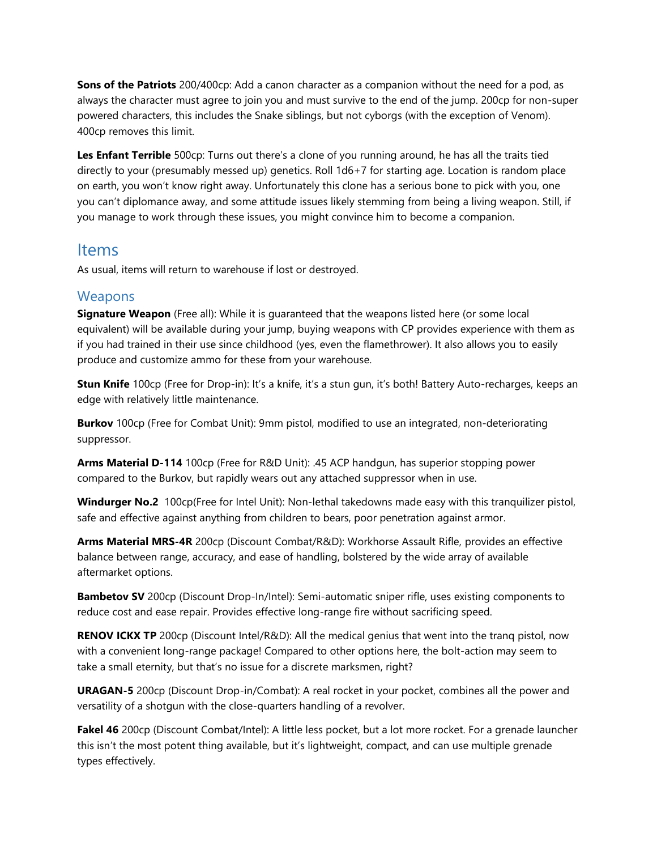**Sons of the Patriots** 200/400cp: Add a canon character as a companion without the need for a pod, as always the character must agree to join you and must survive to the end of the jump. 200cp for non-super powered characters, this includes the Snake siblings, but not cyborgs (with the exception of Venom). 400cp removes this limit.

**Les Enfant Terrible** 500cp: Turns out there's a clone of you running around, he has all the traits tied directly to your (presumably messed up) genetics. Roll 1d6+7 for starting age. Location is random place on earth, you won't know right away. Unfortunately this clone has a serious bone to pick with you, one you can't diplomance away, and some attitude issues likely stemming from being a living weapon. Still, if you manage to work through these issues, you might convince him to become a companion.

#### Items

As usual, items will return to warehouse if lost or destroyed.

#### **Weapons**

**Signature Weapon** (Free all): While it is guaranteed that the weapons listed here (or some local equivalent) will be available during your jump, buying weapons with CP provides experience with them as if you had trained in their use since childhood (yes, even the flamethrower). It also allows you to easily produce and customize ammo for these from your warehouse.

**Stun Knife** 100cp (Free for Drop-in): It's a knife, it's a stun gun, it's both! Battery Auto-recharges, keeps an edge with relatively little maintenance.

**Burkov** 100cp (Free for Combat Unit): 9mm pistol, modified to use an integrated, non-deteriorating suppressor.

**Arms Material D-114** 100cp (Free for R&D Unit): .45 ACP handgun, has superior stopping power compared to the Burkov, but rapidly wears out any attached suppressor when in use.

**Windurger No.2** 100cp(Free for Intel Unit): Non-lethal takedowns made easy with this tranquilizer pistol, safe and effective against anything from children to bears, poor penetration against armor.

**Arms Material MRS-4R** 200cp (Discount Combat/R&D): Workhorse Assault Rifle, provides an effective balance between range, accuracy, and ease of handling, bolstered by the wide array of available aftermarket options.

**Bambetov SV** 200cp (Discount Drop-In/Intel): Semi-automatic sniper rifle, uses existing components to reduce cost and ease repair. Provides effective long-range fire without sacrificing speed.

**RENOV ICKX TP** 200cp (Discount Intel/R&D): All the medical genius that went into the tranq pistol, now with a convenient long-range package! Compared to other options here, the bolt-action may seem to take a small eternity, but that's no issue for a discrete marksmen, right?

**URAGAN-5** 200cp (Discount Drop-in/Combat): A real rocket in your pocket, combines all the power and versatility of a shotgun with the close-quarters handling of a revolver.

**Fakel 46** 200cp (Discount Combat/Intel): A little less pocket, but a lot more rocket. For a grenade launcher this isn't the most potent thing available, but it's lightweight, compact, and can use multiple grenade types effectively.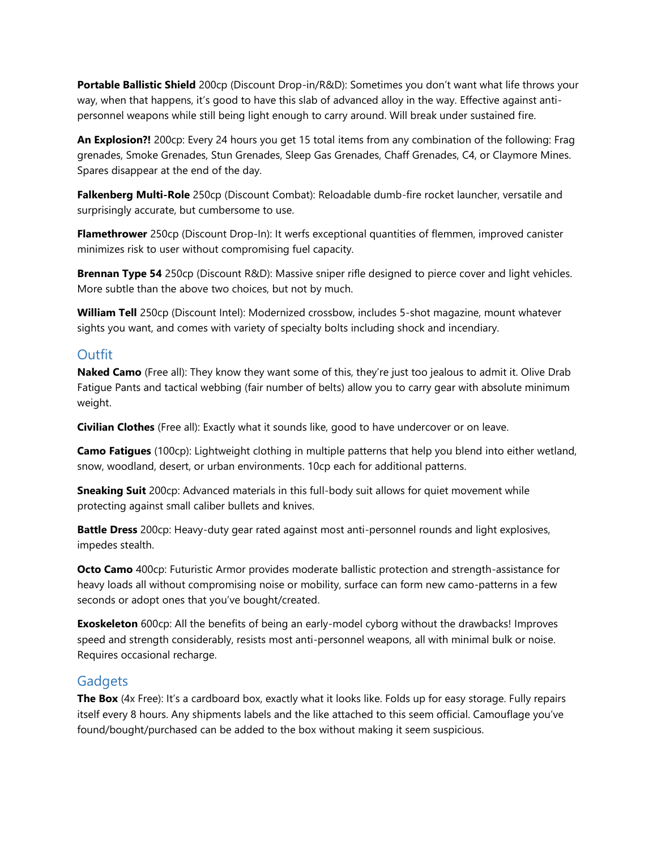**Portable Ballistic Shield** 200cp (Discount Drop-in/R&D): Sometimes you don't want what life throws your way, when that happens, it's good to have this slab of advanced alloy in the way. Effective against antipersonnel weapons while still being light enough to carry around. Will break under sustained fire.

**An Explosion?!** 200cp: Every 24 hours you get 15 total items from any combination of the following: Frag grenades, Smoke Grenades, Stun Grenades, Sleep Gas Grenades, Chaff Grenades, C4, or Claymore Mines. Spares disappear at the end of the day.

**Falkenberg Multi-Role** 250cp (Discount Combat): Reloadable dumb-fire rocket launcher, versatile and surprisingly accurate, but cumbersome to use.

**Flamethrower** 250cp (Discount Drop-In): It werfs exceptional quantities of flemmen, improved canister minimizes risk to user without compromising fuel capacity.

**Brennan Type 54** 250cp (Discount R&D): Massive sniper rifle designed to pierce cover and light vehicles. More subtle than the above two choices, but not by much.

**William Tell** 250cp (Discount Intel): Modernized crossbow, includes 5-shot magazine, mount whatever sights you want, and comes with variety of specialty bolts including shock and incendiary.

#### **Outfit**

**Naked Camo** (Free all): They know they want some of this, they're just too jealous to admit it. Olive Drab Fatigue Pants and tactical webbing (fair number of belts) allow you to carry gear with absolute minimum weight.

**Civilian Clothes** (Free all): Exactly what it sounds like, good to have undercover or on leave.

**Camo Fatigues** (100cp): Lightweight clothing in multiple patterns that help you blend into either wetland, snow, woodland, desert, or urban environments. 10cp each for additional patterns.

**Sneaking Suit** 200cp: Advanced materials in this full-body suit allows for quiet movement while protecting against small caliber bullets and knives.

**Battle Dress** 200cp: Heavy-duty gear rated against most anti-personnel rounds and light explosives, impedes stealth.

**Octo Camo** 400cp: Futuristic Armor provides moderate ballistic protection and strength-assistance for heavy loads all without compromising noise or mobility, surface can form new camo-patterns in a few seconds or adopt ones that you've bought/created.

**Exoskeleton** 600cp: All the benefits of being an early-model cyborg without the drawbacks! Improves speed and strength considerably, resists most anti-personnel weapons, all with minimal bulk or noise. Requires occasional recharge.

#### **Gadgets**

**The Box** (4x Free): It's a cardboard box, exactly what it looks like. Folds up for easy storage. Fully repairs itself every 8 hours. Any shipments labels and the like attached to this seem official. Camouflage you've found/bought/purchased can be added to the box without making it seem suspicious.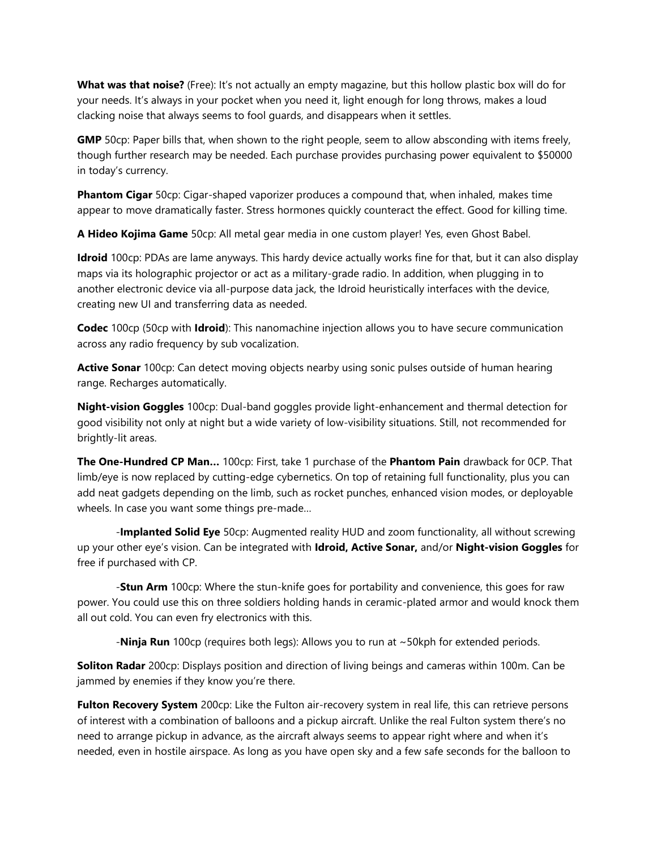**What was that noise?** (Free): It's not actually an empty magazine, but this hollow plastic box will do for your needs. It's always in your pocket when you need it, light enough for long throws, makes a loud clacking noise that always seems to fool guards, and disappears when it settles.

**GMP** 50cp: Paper bills that, when shown to the right people, seem to allow absconding with items freely, though further research may be needed. Each purchase provides purchasing power equivalent to \$50000 in today's currency.

**Phantom Cigar** 50cp: Cigar-shaped vaporizer produces a compound that, when inhaled, makes time appear to move dramatically faster. Stress hormones quickly counteract the effect. Good for killing time.

**A Hideo Kojima Game** 50cp: All metal gear media in one custom player! Yes, even Ghost Babel.

**Idroid** 100cp: PDAs are lame anyways. This hardy device actually works fine for that, but it can also display maps via its holographic projector or act as a military-grade radio. In addition, when plugging in to another electronic device via all-purpose data jack, the Idroid heuristically interfaces with the device, creating new UI and transferring data as needed.

**Codec** 100cp (50cp with **Idroid**): This nanomachine injection allows you to have secure communication across any radio frequency by sub vocalization.

**Active Sonar** 100cp: Can detect moving objects nearby using sonic pulses outside of human hearing range. Recharges automatically.

**Night-vision Goggles** 100cp: Dual-band goggles provide light-enhancement and thermal detection for good visibility not only at night but a wide variety of low-visibility situations. Still, not recommended for brightly-lit areas.

**The One-Hundred CP Man…** 100cp: First, take 1 purchase of the **Phantom Pain** drawback for 0CP. That limb/eye is now replaced by cutting-edge cybernetics. On top of retaining full functionality, plus you can add neat gadgets depending on the limb, such as rocket punches, enhanced vision modes, or deployable wheels. In case you want some things pre-made…

-**Implanted Solid Eye** 50cp: Augmented reality HUD and zoom functionality, all without screwing up your other eye's vision. Can be integrated with **Idroid, Active Sonar,** and/or **Night-vision Goggles** for free if purchased with CP.

-**Stun Arm** 100cp: Where the stun-knife goes for portability and convenience, this goes for raw power. You could use this on three soldiers holding hands in ceramic-plated armor and would knock them all out cold. You can even fry electronics with this.

-**Ninja Run** 100cp (requires both legs): Allows you to run at ~50kph for extended periods.

**Soliton Radar** 200cp: Displays position and direction of living beings and cameras within 100m. Can be jammed by enemies if they know you're there.

**Fulton Recovery System** 200cp: Like the Fulton air-recovery system in real life, this can retrieve persons of interest with a combination of balloons and a pickup aircraft. Unlike the real Fulton system there's no need to arrange pickup in advance, as the aircraft always seems to appear right where and when it's needed, even in hostile airspace. As long as you have open sky and a few safe seconds for the balloon to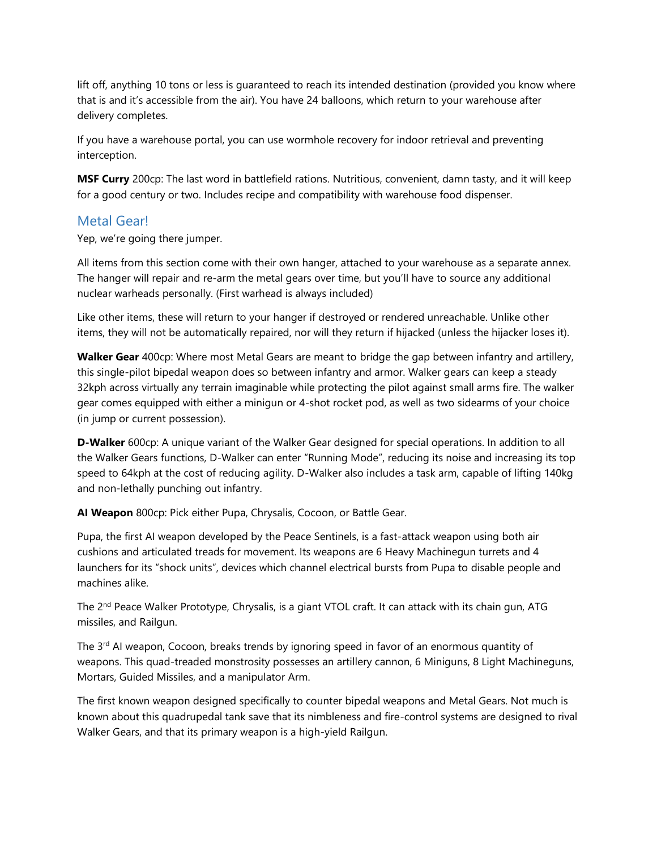lift off, anything 10 tons or less is guaranteed to reach its intended destination (provided you know where that is and it's accessible from the air). You have 24 balloons, which return to your warehouse after delivery completes.

If you have a warehouse portal, you can use wormhole recovery for indoor retrieval and preventing interception.

**MSF Curry** 200cp: The last word in battlefield rations. Nutritious, convenient, damn tasty, and it will keep for a good century or two. Includes recipe and compatibility with warehouse food dispenser.

#### Metal Gear!

Yep, we're going there jumper.

All items from this section come with their own hanger, attached to your warehouse as a separate annex. The hanger will repair and re-arm the metal gears over time, but you'll have to source any additional nuclear warheads personally. (First warhead is always included)

Like other items, these will return to your hanger if destroyed or rendered unreachable. Unlike other items, they will not be automatically repaired, nor will they return if hijacked (unless the hijacker loses it).

**Walker Gear** 400cp: Where most Metal Gears are meant to bridge the gap between infantry and artillery, this single-pilot bipedal weapon does so between infantry and armor. Walker gears can keep a steady 32kph across virtually any terrain imaginable while protecting the pilot against small arms fire. The walker gear comes equipped with either a minigun or 4-shot rocket pod, as well as two sidearms of your choice (in jump or current possession).

**D-Walker** 600cp: A unique variant of the Walker Gear designed for special operations. In addition to all the Walker Gears functions, D-Walker can enter "Running Mode", reducing its noise and increasing its top speed to 64kph at the cost of reducing agility. D-Walker also includes a task arm, capable of lifting 140kg and non-lethally punching out infantry.

**AI Weapon** 800cp: Pick either Pupa, Chrysalis, Cocoon, or Battle Gear.

Pupa, the first AI weapon developed by the Peace Sentinels, is a fast-attack weapon using both air cushions and articulated treads for movement. Its weapons are 6 Heavy Machinegun turrets and 4 launchers for its "shock units", devices which channel electrical bursts from Pupa to disable people and machines alike.

The 2<sup>nd</sup> Peace Walker Prototype, Chrysalis, is a giant VTOL craft. It can attack with its chain gun, ATG missiles, and Railgun.

The  $3<sup>rd</sup>$  AI weapon, Cocoon, breaks trends by ignoring speed in favor of an enormous quantity of weapons. This quad-treaded monstrosity possesses an artillery cannon, 6 Miniguns, 8 Light Machineguns, Mortars, Guided Missiles, and a manipulator Arm.

The first known weapon designed specifically to counter bipedal weapons and Metal Gears. Not much is known about this quadrupedal tank save that its nimbleness and fire-control systems are designed to rival Walker Gears, and that its primary weapon is a high-yield Railgun.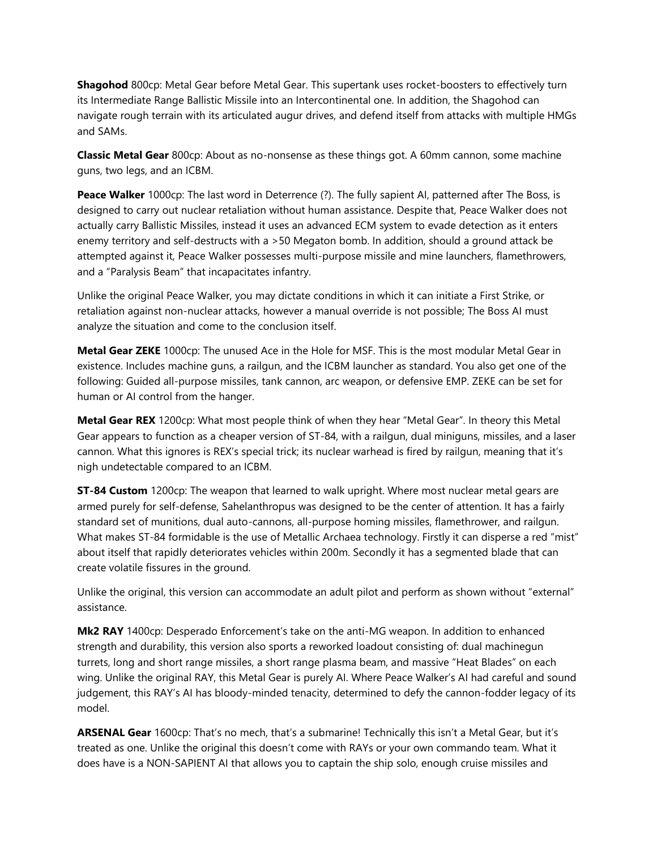**Shagohod** 800cp: Metal Gear before Metal Gear. This supertank uses rocket-boosters to effectively turn its Intermediate Range Ballistic Missile into an Intercontinental one. In addition, the Shagohod can navigate rough terrain with its articulated augur drives, and defend itself from attacks with multiple HMGs and SAMs.

**Classic Metal Gear** 800cp: About as no-nonsense as these things got. A 60mm cannon, some machine guns, two legs, and an ICBM.

**Peace Walker** 1000cp: The last word in Deterrence (?). The fully sapient AI, patterned after The Boss, is designed to carry out nuclear retaliation without human assistance. Despite that, Peace Walker does not actually carry Ballistic Missiles, instead it uses an advanced ECM system to evade detection as it enters enemy territory and self-destructs with a >50 Megaton bomb. In addition, should a ground attack be attempted against it, Peace Walker possesses multi-purpose missile and mine launchers, flamethrowers, and a "Paralysis Beam" that incapacitates infantry.

Unlike the original Peace Walker, you may dictate conditions in which it can initiate a First Strike, or retaliation against non-nuclear attacks, however a manual override is not possible; The Boss AI must analyze the situation and come to the conclusion itself.

**Metal Gear ZEKE** 1000cp: The unused Ace in the Hole for MSF. This is the most modular Metal Gear in existence. Includes machine guns, a railgun, and the ICBM launcher as standard. You also get one of the following: Guided all-purpose missiles, tank cannon, arc weapon, or defensive EMP. ZEKE can be set for human or AI control from the hanger.

**Metal Gear REX** 1200cp: What most people think of when they hear "Metal Gear". In theory this Metal Gear appears to function as a cheaper version of ST-84, with a railgun, dual miniguns, missiles, and a laser cannon. What this ignores is REX's special trick; its nuclear warhead is fired by railgun, meaning that it's nigh undetectable compared to an ICBM.

**ST-84 Custom** 1200cp: The weapon that learned to walk upright. Where most nuclear metal gears are armed purely for self-defense, Sahelanthropus was designed to be the center of attention. It has a fairly standard set of munitions, dual auto-cannons, all-purpose homing missiles, flamethrower, and railgun. What makes ST-84 formidable is the use of Metallic Archaea technology. Firstly it can disperse a red "mist" about itself that rapidly deteriorates vehicles within 200m. Secondly it has a segmented blade that can create volatile fissures in the ground.

Unlike the original, this version can accommodate an adult pilot and perform as shown without "external" assistance.

**Mk2 RAY** 1400cp: Desperado Enforcement's take on the anti-MG weapon. In addition to enhanced strength and durability, this version also sports a reworked loadout consisting of: dual machinegun turrets, long and short range missiles, a short range plasma beam, and massive "Heat Blades" on each wing. Unlike the original RAY, this Metal Gear is purely AI. Where Peace Walker's AI had careful and sound judgement, this RAY's AI has bloody-minded tenacity, determined to defy the cannon-fodder legacy of its model.

**ARSENAL Gear** 1600cp: That's no mech, that's a submarine! Technically this isn't a Metal Gear, but it's treated as one. Unlike the original this doesn't come with RAYs or your own commando team. What it does have is a NON-SAPIENT AI that allows you to captain the ship solo, enough cruise missiles and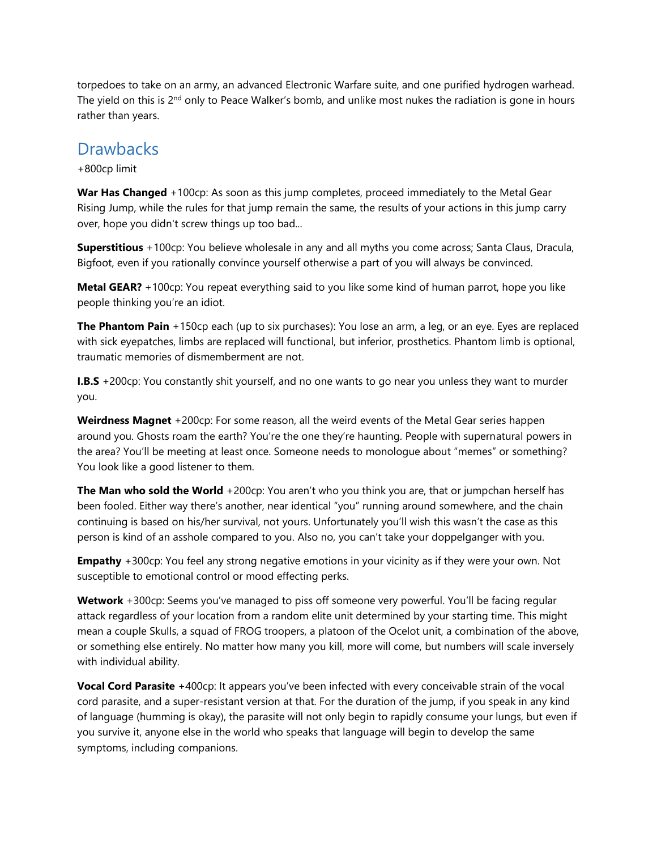torpedoes to take on an army, an advanced Electronic Warfare suite, and one purified hydrogen warhead. The yield on this is  $2<sup>nd</sup>$  only to Peace Walker's bomb, and unlike most nukes the radiation is gone in hours rather than years.

## **Drawbacks**

+800cp limit

**War Has Changed** +100cp: As soon as this jump completes, proceed immediately to the Metal Gear Rising Jump, while the rules for that jump remain the same, the results of your actions in this jump carry over, hope you didn't screw things up too bad...

**Superstitious** +100cp: You believe wholesale in any and all myths you come across; Santa Claus, Dracula, Bigfoot, even if you rationally convince yourself otherwise a part of you will always be convinced.

**Metal GEAR?** +100cp: You repeat everything said to you like some kind of human parrot, hope you like people thinking you're an idiot.

**The Phantom Pain** +150cp each (up to six purchases): You lose an arm, a leg, or an eye. Eyes are replaced with sick eyepatches, limbs are replaced will functional, but inferior, prosthetics. Phantom limb is optional, traumatic memories of dismemberment are not.

**I.B.S** +200cp: You constantly shit yourself, and no one wants to go near you unless they want to murder you.

**Weirdness Magnet** +200cp: For some reason, all the weird events of the Metal Gear series happen around you. Ghosts roam the earth? You're the one they're haunting. People with supernatural powers in the area? You'll be meeting at least once. Someone needs to monologue about "memes" or something? You look like a good listener to them.

**The Man who sold the World** +200cp: You aren't who you think you are, that or jumpchan herself has been fooled. Either way there's another, near identical "you" running around somewhere, and the chain continuing is based on his/her survival, not yours. Unfortunately you'll wish this wasn't the case as this person is kind of an asshole compared to you. Also no, you can't take your doppelganger with you.

**Empathy** +300cp: You feel any strong negative emotions in your vicinity as if they were your own. Not susceptible to emotional control or mood effecting perks.

**Wetwork** +300cp: Seems you've managed to piss off someone very powerful. You'll be facing regular attack regardless of your location from a random elite unit determined by your starting time. This might mean a couple Skulls, a squad of FROG troopers, a platoon of the Ocelot unit, a combination of the above, or something else entirely. No matter how many you kill, more will come, but numbers will scale inversely with individual ability.

**Vocal Cord Parasite** +400cp: It appears you've been infected with every conceivable strain of the vocal cord parasite, and a super-resistant version at that. For the duration of the jump, if you speak in any kind of language (humming is okay), the parasite will not only begin to rapidly consume your lungs, but even if you survive it, anyone else in the world who speaks that language will begin to develop the same symptoms, including companions.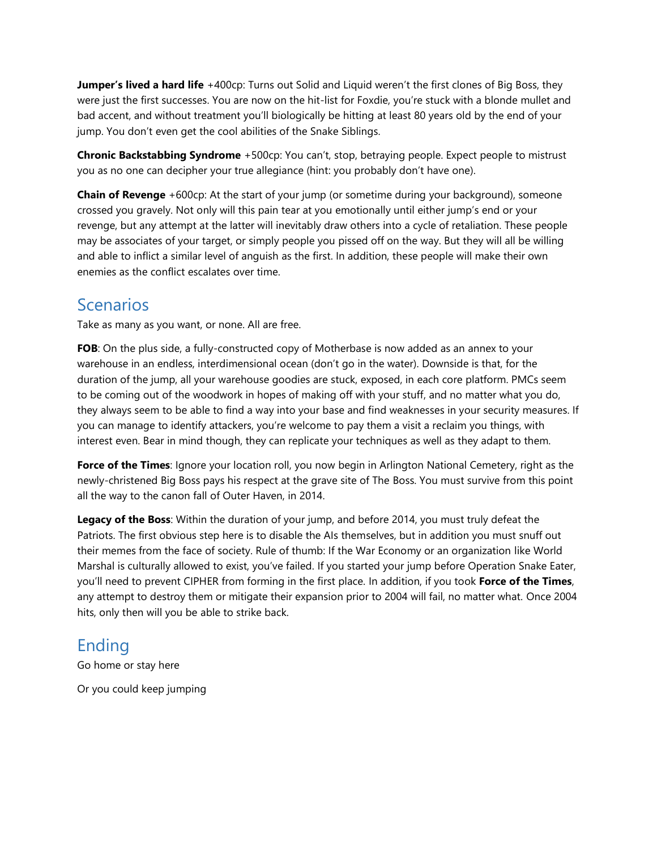**Jumper's lived a hard life** +400cp: Turns out Solid and Liquid weren't the first clones of Big Boss, they were just the first successes. You are now on the hit-list for Foxdie, you're stuck with a blonde mullet and bad accent, and without treatment you'll biologically be hitting at least 80 years old by the end of your jump. You don't even get the cool abilities of the Snake Siblings.

**Chronic Backstabbing Syndrome** +500cp: You can't, stop, betraying people. Expect people to mistrust you as no one can decipher your true allegiance (hint: you probably don't have one).

**Chain of Revenge** +600cp: At the start of your jump (or sometime during your background), someone crossed you gravely. Not only will this pain tear at you emotionally until either jump's end or your revenge, but any attempt at the latter will inevitably draw others into a cycle of retaliation. These people may be associates of your target, or simply people you pissed off on the way. But they will all be willing and able to inflict a similar level of anguish as the first. In addition, these people will make their own enemies as the conflict escalates over time.

# **Scenarios**

Take as many as you want, or none. All are free.

**FOB**: On the plus side, a fully-constructed copy of Motherbase is now added as an annex to your warehouse in an endless, interdimensional ocean (don't go in the water). Downside is that, for the duration of the jump, all your warehouse goodies are stuck, exposed, in each core platform. PMCs seem to be coming out of the woodwork in hopes of making off with your stuff, and no matter what you do, they always seem to be able to find a way into your base and find weaknesses in your security measures. If you can manage to identify attackers, you're welcome to pay them a visit a reclaim you things, with interest even. Bear in mind though, they can replicate your techniques as well as they adapt to them.

**Force of the Times**: Ignore your location roll, you now begin in Arlington National Cemetery, right as the newly-christened Big Boss pays his respect at the grave site of The Boss. You must survive from this point all the way to the canon fall of Outer Haven, in 2014.

**Legacy of the Boss**: Within the duration of your jump, and before 2014, you must truly defeat the Patriots. The first obvious step here is to disable the AIs themselves, but in addition you must snuff out their memes from the face of society. Rule of thumb: If the War Economy or an organization like World Marshal is culturally allowed to exist, you've failed. If you started your jump before Operation Snake Eater, you'll need to prevent CIPHER from forming in the first place. In addition, if you took **Force of the Times**, any attempt to destroy them or mitigate their expansion prior to 2004 will fail, no matter what. Once 2004 hits, only then will you be able to strike back.

# Ending

Go home or stay here

Or you could keep jumping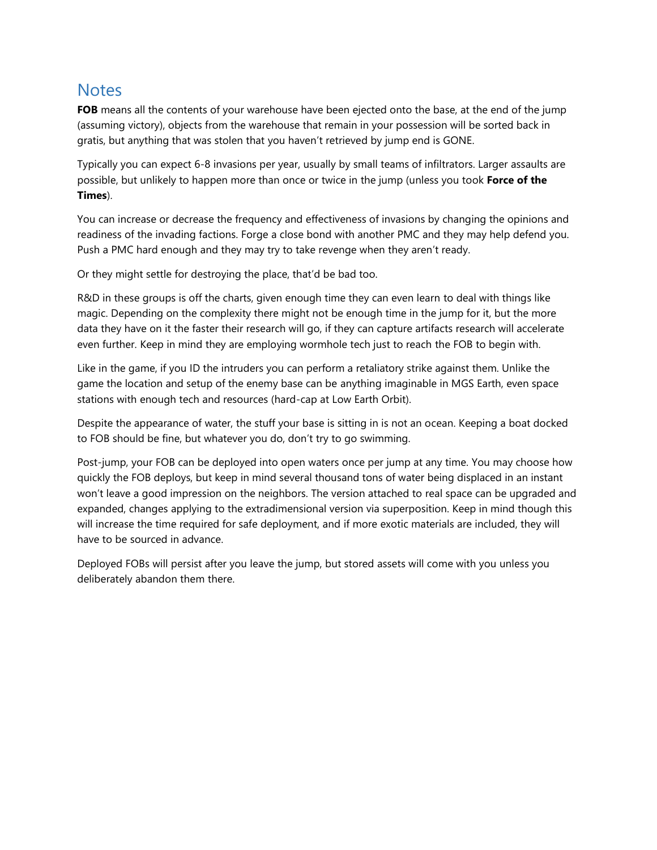## **Notes**

**FOB** means all the contents of your warehouse have been ejected onto the base, at the end of the jump (assuming victory), objects from the warehouse that remain in your possession will be sorted back in gratis, but anything that was stolen that you haven't retrieved by jump end is GONE.

Typically you can expect 6-8 invasions per year, usually by small teams of infiltrators. Larger assaults are possible, but unlikely to happen more than once or twice in the jump (unless you took **Force of the Times**).

You can increase or decrease the frequency and effectiveness of invasions by changing the opinions and readiness of the invading factions. Forge a close bond with another PMC and they may help defend you. Push a PMC hard enough and they may try to take revenge when they aren't ready.

Or they might settle for destroying the place, that'd be bad too.

R&D in these groups is off the charts, given enough time they can even learn to deal with things like magic. Depending on the complexity there might not be enough time in the jump for it, but the more data they have on it the faster their research will go, if they can capture artifacts research will accelerate even further. Keep in mind they are employing wormhole tech just to reach the FOB to begin with.

Like in the game, if you ID the intruders you can perform a retaliatory strike against them. Unlike the game the location and setup of the enemy base can be anything imaginable in MGS Earth, even space stations with enough tech and resources (hard-cap at Low Earth Orbit).

Despite the appearance of water, the stuff your base is sitting in is not an ocean. Keeping a boat docked to FOB should be fine, but whatever you do, don't try to go swimming.

Post-jump, your FOB can be deployed into open waters once per jump at any time. You may choose how quickly the FOB deploys, but keep in mind several thousand tons of water being displaced in an instant won't leave a good impression on the neighbors. The version attached to real space can be upgraded and expanded, changes applying to the extradimensional version via superposition. Keep in mind though this will increase the time required for safe deployment, and if more exotic materials are included, they will have to be sourced in advance.

Deployed FOBs will persist after you leave the jump, but stored assets will come with you unless you deliberately abandon them there.